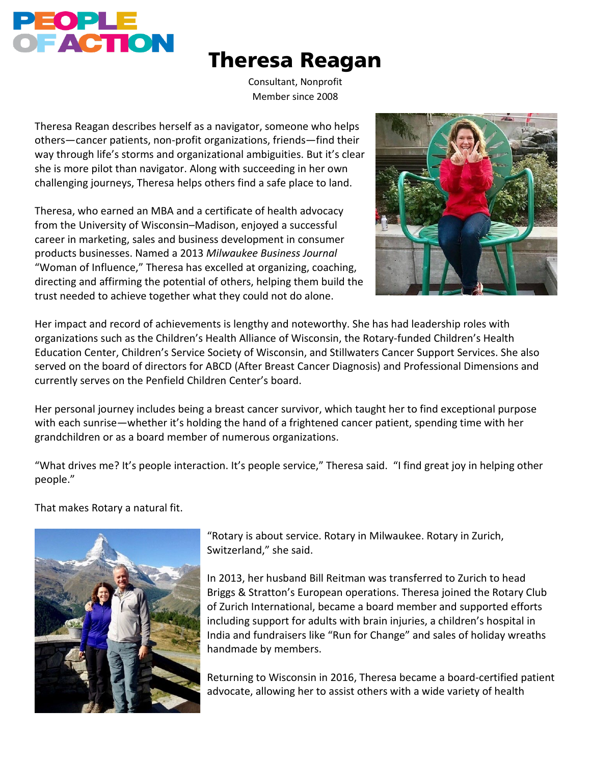

## Theresa Reagan

Consultant, Nonprofit Member since 2008

Theresa Reagan describes herself as a navigator, someone who helps others—cancer patients, non-profit organizations, friends—find their way through life's storms and organizational ambiguities. But it's clear she is more pilot than navigator. Along with succeeding in her own challenging journeys, Theresa helps others find a safe place to land.

Theresa, who earned an MBA and a certificate of health advocacy from the University of Wisconsin–Madison, enjoyed a successful career in marketing, sales and business development in consumer products businesses. Named a 2013 *Milwaukee Business Journal* "Woman of Influence," Theresa has excelled at organizing, coaching, directing and affirming the potential of others, helping them build the trust needed to achieve together what they could not do alone.



Her impact and record of achievements is lengthy and noteworthy. She has had leadership roles with organizations such as the Children's Health Alliance of Wisconsin, the Rotary-funded Children's Health Education Center, Children's Service Society of Wisconsin, and Stillwaters Cancer Support Services. She also served on the board of directors for ABCD (After Breast Cancer Diagnosis) and Professional Dimensions and currently serves on the Penfield Children Center's board.

Her personal journey includes being a breast cancer survivor, which taught her to find exceptional purpose with each sunrise—whether it's holding the hand of a frightened cancer patient, spending time with her grandchildren or as a board member of numerous organizations.

"What drives me? It's people interaction. It's people service," Theresa said. "I find great joy in helping other people."

That makes Rotary a natural fit.



"Rotary is about service. Rotary in Milwaukee. Rotary in Zurich, Switzerland," she said.

In 2013, her husband Bill Reitman was transferred to Zurich to head Briggs & Stratton's European operations. Theresa joined the Rotary Club of Zurich International, became a board member and supported efforts including support for adults with brain injuries, a children's hospital in India and fundraisers like "Run for Change" and sales of holiday wreaths handmade by members.

Returning to Wisconsin in 2016, Theresa became a board-certified patient advocate, allowing her to assist others with a wide variety of health